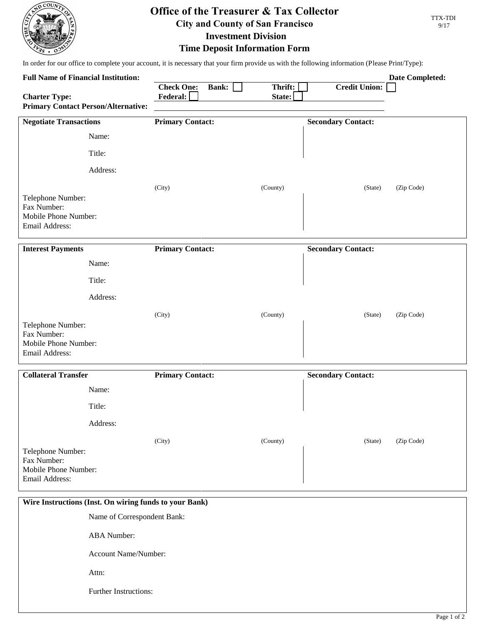

## **Office of the Treasurer & Tax Collector City and County of San Francisco**

TTX-TDI 9/17

**Investment Division Time Deposit Information Form**

In order for our office to complete your account, it is necessary that your firm provide us with the following information (Please Print/Type):

| <b>Full Name of Financial Institution:</b>                                 |                               |              |                   |                           | <b>Date Completed:</b> |  |
|----------------------------------------------------------------------------|-------------------------------|--------------|-------------------|---------------------------|------------------------|--|
| <b>Charter Type:</b>                                                       | <b>Check One:</b><br>Federal: | <b>Bank:</b> | Thrift:<br>State: | <b>Credit Union:</b>      |                        |  |
| <b>Primary Contact Person/Alternative:</b>                                 |                               |              |                   |                           |                        |  |
| <b>Negotiate Transactions</b>                                              | <b>Primary Contact:</b>       |              |                   | <b>Secondary Contact:</b> |                        |  |
| Name:                                                                      |                               |              |                   |                           |                        |  |
| Title:                                                                     |                               |              |                   |                           |                        |  |
| Address:                                                                   |                               |              |                   |                           |                        |  |
| Telephone Number:<br>Fax Number:<br>Mobile Phone Number:<br>Email Address: | (City)                        |              | (County)          | (State)                   | (Zip Code)             |  |
| <b>Interest Payments</b>                                                   | <b>Primary Contact:</b>       |              |                   | <b>Secondary Contact:</b> |                        |  |
| Name:                                                                      |                               |              |                   |                           |                        |  |
| Title:                                                                     |                               |              |                   |                           |                        |  |
| Address:                                                                   |                               |              |                   |                           |                        |  |
| Telephone Number:<br>Fax Number:<br>Mobile Phone Number:<br>Email Address: | (City)                        |              | (County)          | (State)                   | (Zip Code)             |  |
| <b>Collateral Transfer</b>                                                 | <b>Primary Contact:</b>       |              |                   | <b>Secondary Contact:</b> |                        |  |
| Name:                                                                      |                               |              |                   |                           |                        |  |
| Title:                                                                     |                               |              |                   |                           |                        |  |
| Address:                                                                   |                               |              |                   |                           |                        |  |
| Telephone Number:<br>Fax Number:<br>Mobile Phone Number:<br>Email Address: | (City)                        |              | (County)          | (State)                   | (Zip Code)             |  |
| Wire Instructions (Inst. On wiring funds to your Bank)                     |                               |              |                   |                           |                        |  |
| Name of Correspondent Bank:                                                |                               |              |                   |                           |                        |  |
|                                                                            | <b>ABA</b> Number:            |              |                   |                           |                        |  |
|                                                                            | Account Name/Number:          |              |                   |                           |                        |  |
| Attn:                                                                      |                               |              |                   |                           |                        |  |

Further Instructions: